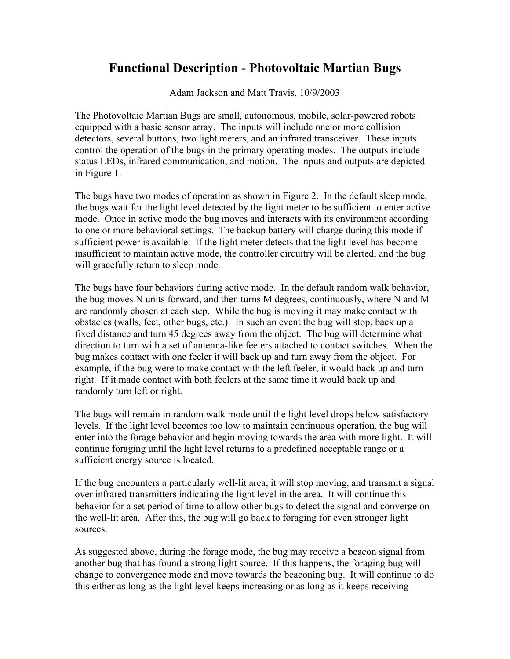## **Functional Description - Photovoltaic Martian Bugs**

Adam Jackson and Matt Travis, 10/9/2003

The Photovoltaic Martian Bugs are small, autonomous, mobile, solar-powered robots equipped with a basic sensor array. The inputs will include one or more collision detectors, several buttons, two light meters, and an infrared transceiver. These inputs control the operation of the bugs in the primary operating modes. The outputs include status LEDs, infrared communication, and motion. The inputs and outputs are depicted in Figure 1.

The bugs have two modes of operation as shown in Figure 2. In the default sleep mode, the bugs wait for the light level detected by the light meter to be sufficient to enter active mode. Once in active mode the bug moves and interacts with its environment according to one or more behavioral settings. The backup battery will charge during this mode if sufficient power is available. If the light meter detects that the light level has become insufficient to maintain active mode, the controller circuitry will be alerted, and the bug will gracefully return to sleep mode.

The bugs have four behaviors during active mode. In the default random walk behavior, the bug moves N units forward, and then turns M degrees, continuously, where N and M are randomly chosen at each step. While the bug is moving it may make contact with obstacles (walls, feet, other bugs, etc.). In such an event the bug will stop, back up a fixed distance and turn 45 degrees away from the object. The bug will determine what direction to turn with a set of antenna-like feelers attached to contact switches. When the bug makes contact with one feeler it will back up and turn away from the object. For example, if the bug were to make contact with the left feeler, it would back up and turn right. If it made contact with both feelers at the same time it would back up and randomly turn left or right.

The bugs will remain in random walk mode until the light level drops below satisfactory levels. If the light level becomes too low to maintain continuous operation, the bug will enter into the forage behavior and begin moving towards the area with more light. It will continue foraging until the light level returns to a predefined acceptable range or a sufficient energy source is located.

If the bug encounters a particularly well-lit area, it will stop moving, and transmit a signal over infrared transmitters indicating the light level in the area. It will continue this behavior for a set period of time to allow other bugs to detect the signal and converge on the well-lit area. After this, the bug will go back to foraging for even stronger light sources.

As suggested above, during the forage mode, the bug may receive a beacon signal from another bug that has found a strong light source. If this happens, the foraging bug will change to convergence mode and move towards the beaconing bug. It will continue to do this either as long as the light level keeps increasing or as long as it keeps receiving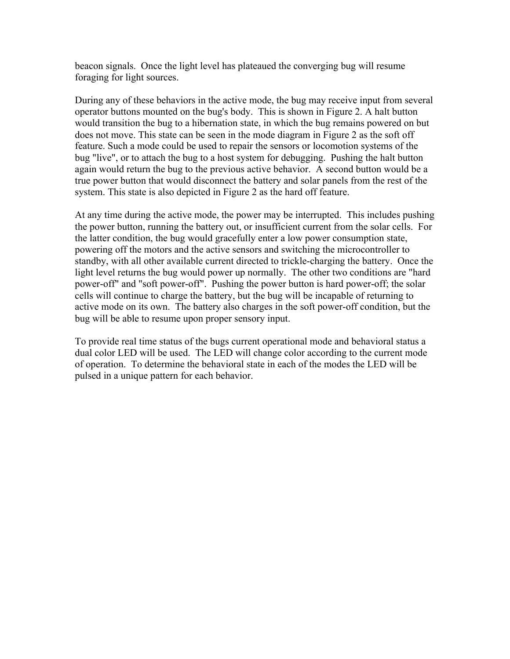beacon signals. Once the light level has plateaued the converging bug will resume foraging for light sources.

During any of these behaviors in the active mode, the bug may receive input from several operator buttons mounted on the bug's body. This is shown in Figure 2. A halt button would transition the bug to a hibernation state, in which the bug remains powered on but does not move. This state can be seen in the mode diagram in Figure 2 as the soft off feature. Such a mode could be used to repair the sensors or locomotion systems of the bug "live", or to attach the bug to a host system for debugging. Pushing the halt button again would return the bug to the previous active behavior. A second button would be a true power button that would disconnect the battery and solar panels from the rest of the system. This state is also depicted in Figure 2 as the hard off feature.

At any time during the active mode, the power may be interrupted. This includes pushing the power button, running the battery out, or insufficient current from the solar cells. For the latter condition, the bug would gracefully enter a low power consumption state, powering off the motors and the active sensors and switching the microcontroller to standby, with all other available current directed to trickle-charging the battery. Once the light level returns the bug would power up normally. The other two conditions are "hard power-off" and "soft power-off". Pushing the power button is hard power-off; the solar cells will continue to charge the battery, but the bug will be incapable of returning to active mode on its own. The battery also charges in the soft power-off condition, but the bug will be able to resume upon proper sensory input.

To provide real time status of the bugs current operational mode and behavioral status a dual color LED will be used. The LED will change color according to the current mode of operation. To determine the behavioral state in each of the modes the LED will be pulsed in a unique pattern for each behavior.